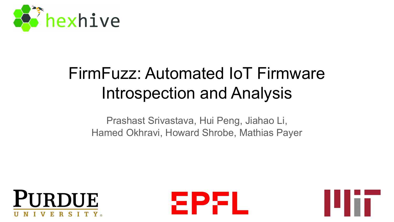

# FirmFuzz: Automated IoT Firmware Introspection and Analysis

Prashast Srivastava, Hui Peng, Jiahao Li, Hamed Okhravi, Howard Shrobe, Mathias Payer





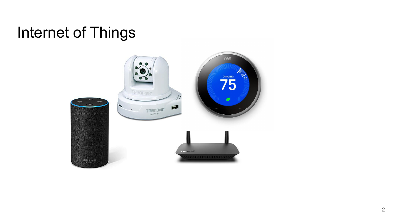## Internet of Things

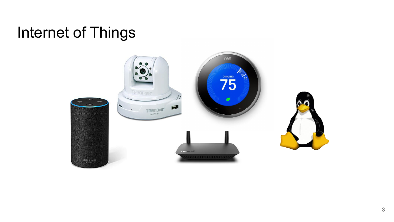### Internet of Things

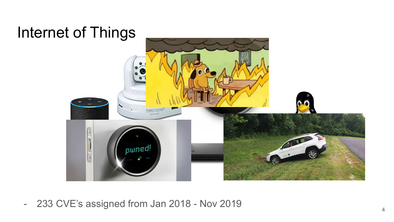

- 233 CVE's assigned from Jan 2018 - Nov 2019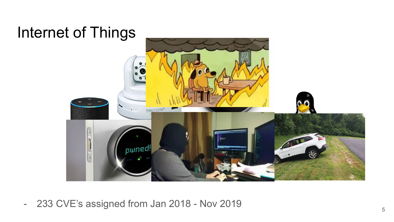

- 233 CVE's assigned from Jan 2018 - Nov 2019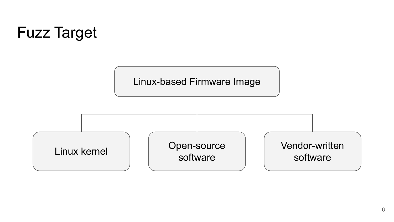# Fuzz Target

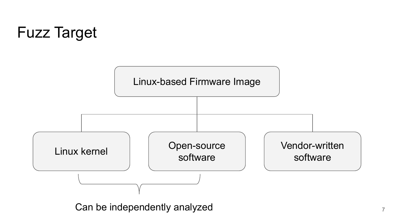# Fuzz Target



Can be independently analyzed  $7$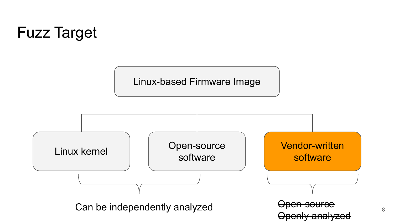# Fuzz Target

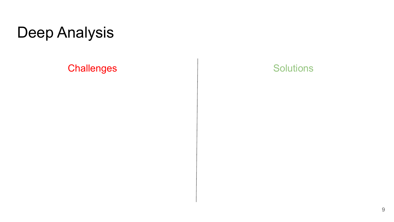Challenges and Solutions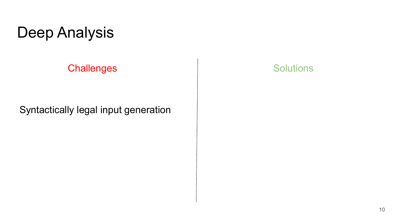#### Challenges and Solutions

#### Syntactically legal input generation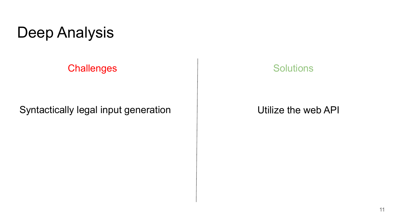Challenges and Solutions

Syntactically legal input generation  $\Box$  Utilize the web API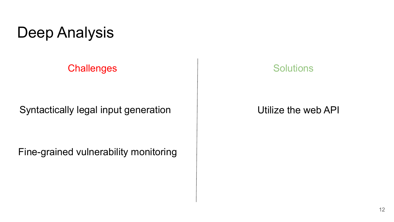Challenges and the solutions of the Solutions

Syntactically legal input generation  $\Box$  Utilize the web API

Fine-grained vulnerability monitoring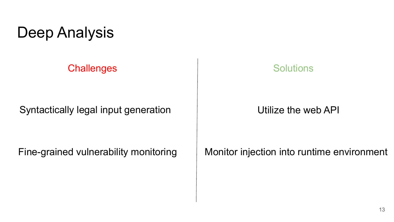**Challenges** Solutions

Syntactically legal input generation  $\Box$  Utilize the web API

Fine-grained vulnerability monitoring

Monitor injection into runtime environment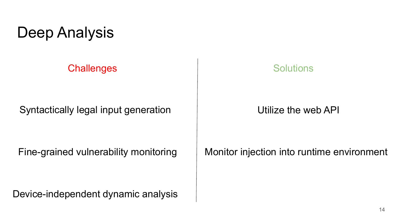**Challenges** Solutions

Syntactically legal input generation Theorem Chilize the web API

Fine-grained vulnerability monitoring

Device-independent dynamic analysis

Monitor injection into runtime environment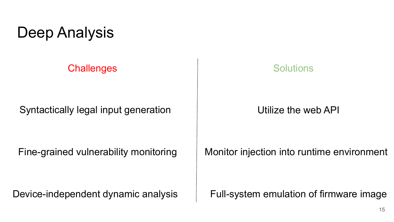#### **Challenges** Solutions

Syntactically legal input generation Theorem Chilize the web API

Fine-grained vulnerability monitoring

Monitor injection into runtime environment

Device-independent dynamic analysis Full-system emulation of firmware image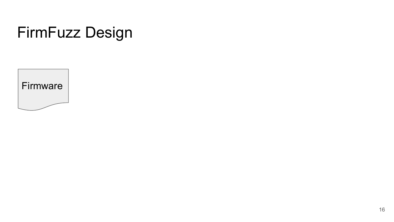## FirmFuzz Design

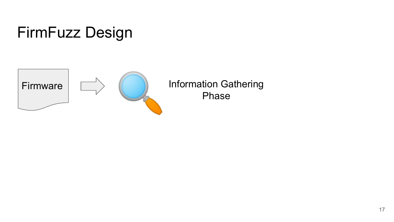

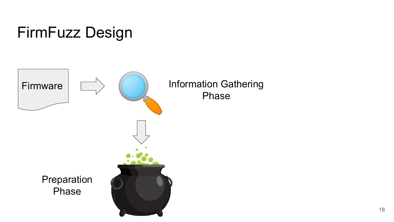# FirmFuzz Design

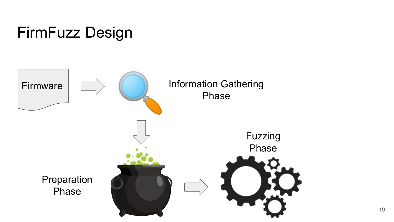

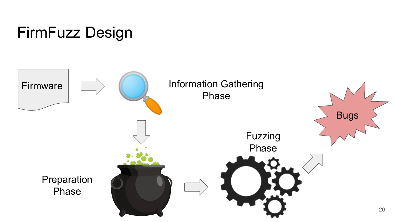

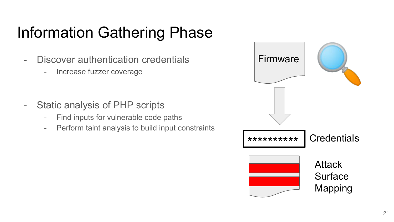# Information Gathering Phase

- Discover authentication credentials
	- Increase fuzzer coverage
- Static analysis of PHP scripts
	- Find inputs for vulnerable code paths
	- Perform taint analysis to build input constraints

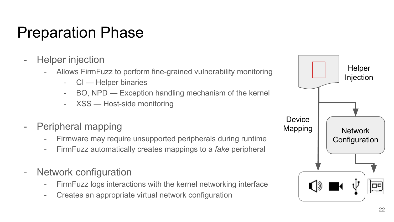## Preparation Phase

- Helper injection
	- Allows FirmFuzz to perform fine-grained vulnerability monitoring
		- CI Helper binaries
		- BO, NPD Exception handling mechanism of the kernel
		- XSS Host-side monitoring
- Peripheral mapping
	- Firmware may require unsupported peripherals during runtime
	- FirmFuzz automatically creates mappings to a *fake* peripheral
- Network configuration
	- FirmFuzz logs interactions with the kernel networking interface
	- Creates an appropriate virtual network configuration

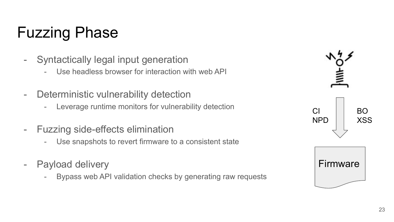# Fuzzing Phase

- Syntactically legal input generation
	- Use headless browser for interaction with web API
- Deterministic vulnerability detection
	- Leverage runtime monitors for vulnerability detection
- Fuzzing side-effects elimination
	- Use snapshots to revert firmware to a consistent state
- Payload delivery
	- Bypass web API validation checks by generating raw requests

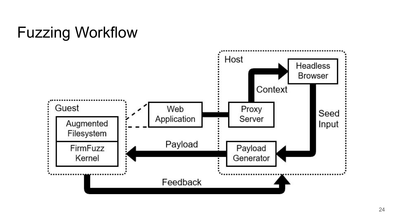# Fuzzing Workflow

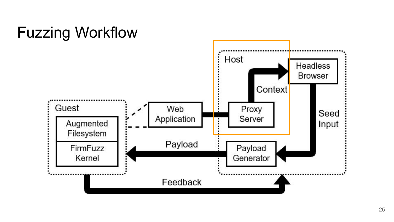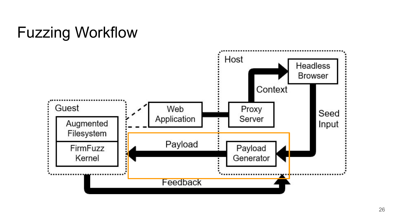# Fuzzing Workflow

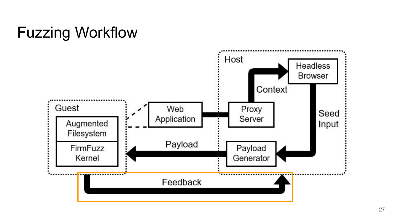# Fuzzing Workflow

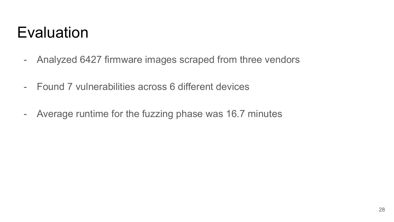## **Evaluation**

- Analyzed 6427 firmware images scraped from three vendors
- Found 7 vulnerabilities across 6 different devices
- Average runtime for the fuzzing phase was 16.7 minutes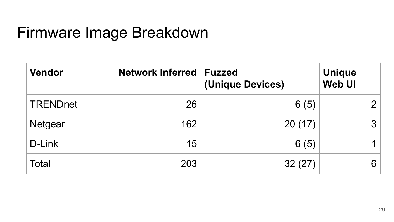### Firmware Image Breakdown

| <b>Vendor</b>   | <b>Network Inferred</b> | <b>Fuzzed</b><br>(Unique Devices) | <b>Unique</b><br><b>Web UI</b> |
|-----------------|-------------------------|-----------------------------------|--------------------------------|
| <b>TRENDnet</b> | 26                      | 6(5)                              | ◠                              |
| <b>Netgear</b>  | 162                     | 20(17)                            | 3                              |
| D-Link          | 15                      | 6(5)                              |                                |
| <b>Total</b>    | 203                     | 32(27)                            | 6                              |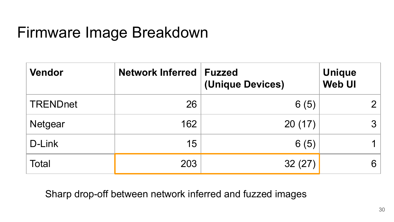## Firmware Image Breakdown

| <b>Vendor</b>   | <b>Network Inferred</b> | <b>Fuzzed</b><br>(Unique Devices) | <b>Unique</b><br><b>Web UI</b> |
|-----------------|-------------------------|-----------------------------------|--------------------------------|
| <b>TRENDnet</b> | 26                      | 6(5)                              | n                              |
| <b>Netgear</b>  | 162                     | 20(17)                            | $\mathcal{S}$                  |
| D-Link          | 15                      | 6(5)                              |                                |
| <b>Total</b>    | 203                     | 32(27)                            | 6                              |

Sharp drop-off between network inferred and fuzzed images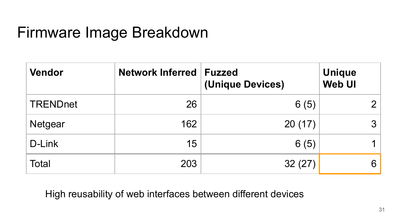## Firmware Image Breakdown

| <b>Vendor</b>   | <b>Network Inferred</b> | <b>Fuzzed</b><br>(Unique Devices) | <b>Unique</b><br><b>Web UI</b> |
|-----------------|-------------------------|-----------------------------------|--------------------------------|
| <b>TRENDnet</b> | 26                      | 6(5)                              |                                |
| <b>Netgear</b>  | 162                     | 20(17)                            | 3                              |
| D-Link          | 15                      | 6(5)                              |                                |
| <b>Total</b>    | 203                     | 32(27)                            | 6                              |

High reusability of web interfaces between different devices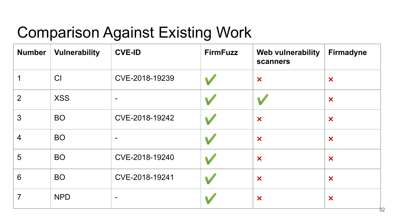# Comparison Against Existing Work

| <b>Number</b>  | <b>Vulnerability</b> | <b>CVE-ID</b>            | <b>FirmFuzz</b> | <b>Web vulnerability</b><br>scanners | <b>Firmadyne</b>          |
|----------------|----------------------|--------------------------|-----------------|--------------------------------------|---------------------------|
|                | CI                   | CVE-2018-19239           |                 | $\boldsymbol{\mathsf{x}}$            | $\boldsymbol{\mathsf{x}}$ |
| 2              | <b>XSS</b>           | $\blacksquare$           |                 |                                      | $\boldsymbol{\mathsf{x}}$ |
| 3              | <b>BO</b>            | CVE-2018-19242           |                 | $\boldsymbol{\mathsf{x}}$            | $\boldsymbol{\mathsf{x}}$ |
| $\overline{4}$ | <b>BO</b>            | $\blacksquare$           |                 | $\boldsymbol{\mathsf{x}}$            | $\boldsymbol{\mathsf{x}}$ |
| 5              | <b>BO</b>            | CVE-2018-19240           |                 | $\boldsymbol{\mathsf{x}}$            | $\boldsymbol{\mathsf{x}}$ |
| 6              | <b>BO</b>            | CVE-2018-19241           |                 | $\bm{x}$                             | $\boldsymbol{\mathsf{x}}$ |
| 7              | <b>NPD</b>           | $\overline{\phantom{a}}$ |                 | $\boldsymbol{\mathsf{x}}$            | $\boldsymbol{\mathsf{x}}$ |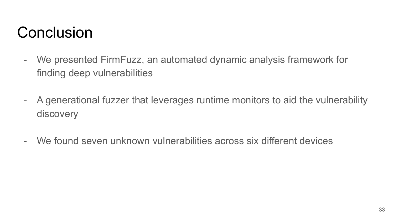### Conclusion

- We presented FirmFuzz, an automated dynamic analysis framework for finding deep vulnerabilities
- A generational fuzzer that leverages runtime monitors to aid the vulnerability discovery
- We found seven unknown vulnerabilities across six different devices